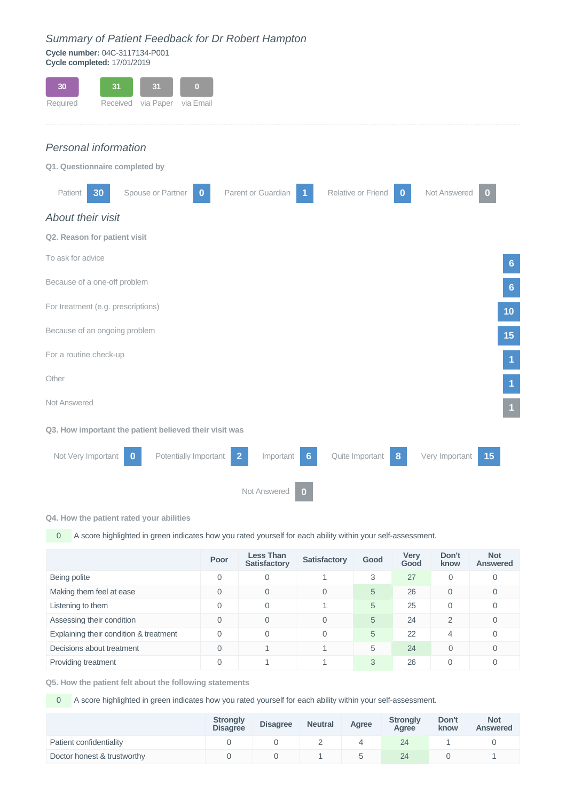## *Summary of Patient Feedback for Dr Robert Hampton*

**Cycle number:** 04C-3117134-P001 **Cycle completed:** 17/01/2019

| 30<br>31<br>31<br>$\left( 0\right)$<br>via Paper via Email<br>Required<br>Received                                                          |
|---------------------------------------------------------------------------------------------------------------------------------------------|
| Personal information                                                                                                                        |
| Q1. Questionnaire completed by                                                                                                              |
| Not Answered<br>Spouse or Partner<br>Parent or Guardian<br>Relative or Friend<br>Patient<br>30<br>$\bf{0}$<br>0                             |
| About their visit                                                                                                                           |
| Q2. Reason for patient visit                                                                                                                |
| To ask for advice<br>6                                                                                                                      |
| Because of a one-off problem<br>6                                                                                                           |
| For treatment (e.g. prescriptions)<br>10                                                                                                    |
| Because of an ongoing problem<br>15                                                                                                         |
| For a routine check-up<br>1                                                                                                                 |
| Other                                                                                                                                       |
| Not Answered                                                                                                                                |
| Q3. How important the patient believed their visit was                                                                                      |
| Not Very Important<br>Potentially Important<br>Quite Important<br>Very Important<br>Important<br>15<br>$\overline{2}$<br>8<br>$\bf{0}$<br>6 |
| Not Answered                                                                                                                                |

## **Q4. How the patient rated your abilities**

0 A score highlighted in green indicates how you rated yourself for each ability within your self-assessment.

|                                        | Poor     | <b>Less Than</b><br><b>Satisfactory</b> | <b>Satisfactory</b> | Good | <b>Very</b><br>Good | Don't<br>know | <b>Not</b><br><b>Answered</b> |
|----------------------------------------|----------|-----------------------------------------|---------------------|------|---------------------|---------------|-------------------------------|
| Being polite                           | $\Omega$ | $\Omega$                                |                     | 3    | 27                  | 0             | 0                             |
| Making them feel at ease               | $\Omega$ | $\Omega$                                | $\Omega$            | 5    | 26                  | $\Omega$      | $\Omega$                      |
| Listening to them                      | $\Omega$ | $\overline{0}$                          |                     | 5    | 25                  | $\mathbf 0$   | 0                             |
| Assessing their condition              | $\Omega$ | $\Omega$                                | $\Omega$            | 5    | 24                  | 2             | 0                             |
| Explaining their condition & treatment | $\Omega$ | $\Omega$                                | $\Omega$            | 5    | 22                  | 4             | $\Omega$                      |
| Decisions about treatment              | $\Omega$ |                                         |                     | 5    | 24                  | $\Omega$      | $\Omega$                      |
| Providing treatment                    | $\Omega$ |                                         |                     | 3    | 26                  | 0             | $\Omega$                      |

**Q5. How the patient felt about the following statements**

**0** A score highlighted in green indicates how you rated yourself for each ability within your self-assessment.

|                             | <b>Strongly</b><br><b>Disagree</b> | <b>Disagree</b> | <b>Neutral</b> | Agree | <b>Strongly</b><br>Agree | Don't<br>know | <b>Not</b><br><b>Answered</b> |
|-----------------------------|------------------------------------|-----------------|----------------|-------|--------------------------|---------------|-------------------------------|
| Patient confidentiality     |                                    |                 |                |       | 24                       |               |                               |
| Doctor honest & trustworthy |                                    |                 |                |       | 24                       |               |                               |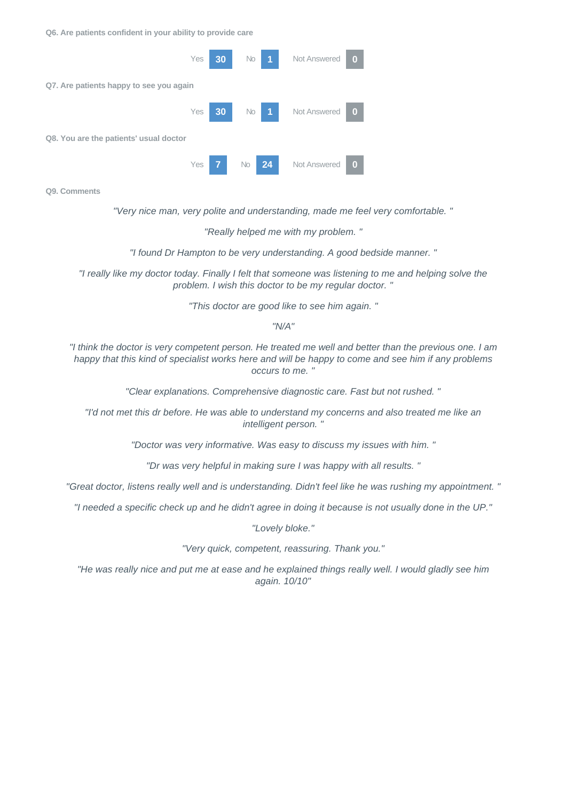**Q6. Are patients confident in your ability to provide care**



**Q9. Comments**

*"Very nice man, very polite and understanding, made me feel very comfortable. "*

*"Really helped me with my problem. "*

*"I found Dr Hampton to be very understanding. A good bedside manner. "*

*"I really like my doctor today. Finally I felt that someone was listening to me and helping solve the problem. I wish this doctor to be my regular doctor. "*

*"This doctor are good like to see him again. "*

*"N/A"*

*"I think the doctor is very competent person. He treated me well and better than the previous one. I am happy that this kind of specialist works here and will be happy to come and see him if any problems occurs to me. "*

*"Clear explanations. Comprehensive diagnostic care. Fast but not rushed. "*

*"I'd not met this dr before. He was able to understand my concerns and also treated me like an intelligent person. "*

*"Doctor was very informative. Was easy to discuss my issues with him. "*

*"Dr was very helpful in making sure I was happy with all results. "*

*"Great doctor, listens really well and is understanding. Didn't feel like he was rushing my appointment. "*

*"I needed a specific check up and he didn't agree in doing it because is not usually done in the UP."*

*"Lovely bloke."*

*"Very quick, competent, reassuring. Thank you."*

*"He was really nice and put me at ease and he explained things really well. I would gladly see him again. 10/10"*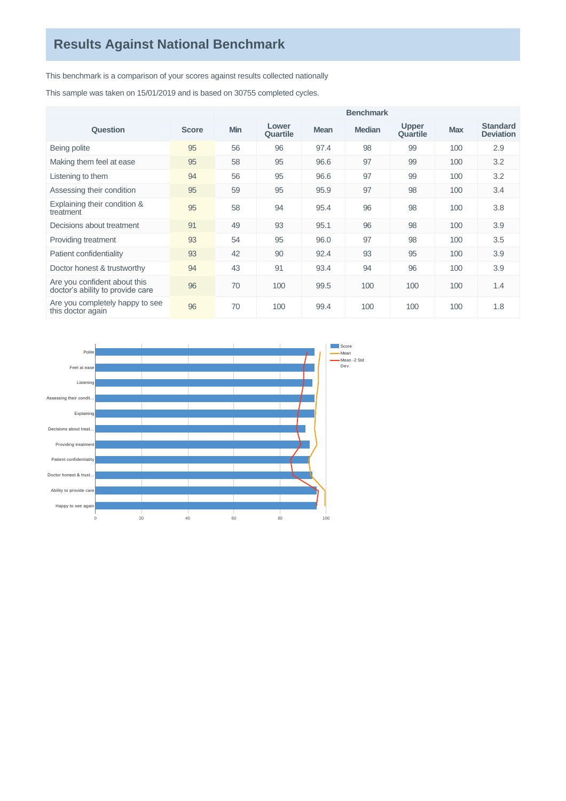This benchmark is a comparison of your scores against results collected nationally

This sample was taken on 15/01/2019 and is based on 30755 completed cycles.

|                                                                  |              | <b>Benchmark</b> |                   |             |               |                          |            |                                     |
|------------------------------------------------------------------|--------------|------------------|-------------------|-------------|---------------|--------------------------|------------|-------------------------------------|
| Question                                                         | <b>Score</b> | <b>Min</b>       | Lower<br>Quartile | <b>Mean</b> | <b>Median</b> | <b>Upper</b><br>Quartile | <b>Max</b> | <b>Standard</b><br><b>Deviation</b> |
| Being polite                                                     | 95           | 56               | 96                | 97.4        | 98            | 99                       | 100        | 2.9                                 |
| Making them feel at ease                                         | 95           | 58               | 95                | 96.6        | 97            | 99                       | 100        | 3.2                                 |
| Listening to them                                                | 94           | 56               | 95                | 96.6        | 97            | 99                       | 100        | 3.2                                 |
| Assessing their condition                                        | 95           | 59               | 95                | 95.9        | 97            | 98                       | 100        | 3.4                                 |
| Explaining their condition &<br>treatment                        | 95           | 58               | 94                | 95.4        | 96            | 98                       | 100        | 3.8                                 |
| Decisions about treatment                                        | 91           | 49               | 93                | 95.1        | 96            | 98                       | 100        | 3.9                                 |
| Providing treatment                                              | 93           | 54               | 95                | 96.0        | 97            | 98                       | 100        | 3.5                                 |
| Patient confidentiality                                          | 93           | 42               | 90                | 92.4        | 93            | 95                       | 100        | 3.9                                 |
| Doctor honest & trustworthy                                      | 94           | 43               | 91                | 93.4        | 94            | 96                       | 100        | 3.9                                 |
| Are you confident about this<br>doctor's ability to provide care | 96           | 70               | 100               | 99.5        | 100           | 100                      | 100        | 1.4                                 |
| Are you completely happy to see<br>this doctor again             | 96           | 70               | 100               | 99.4        | 100           | 100                      | 100        | 1.8                                 |

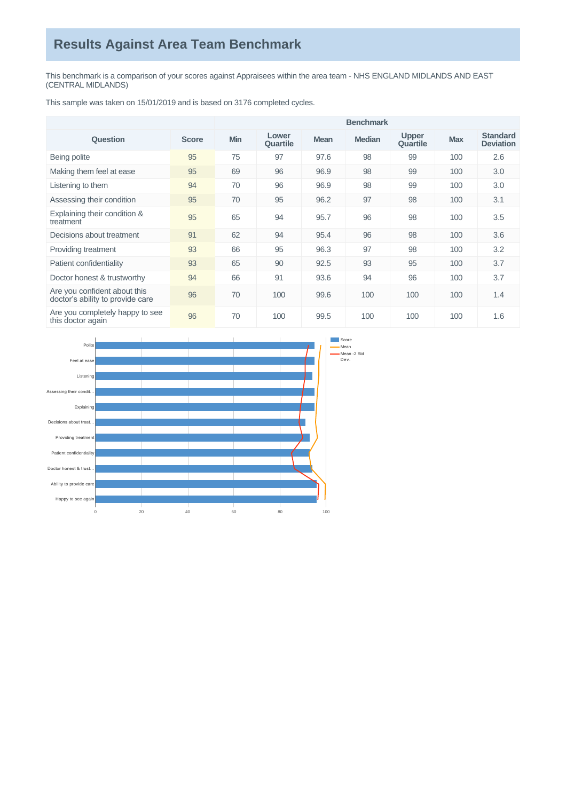## **Results Against Area Team Benchmark**

This benchmark is a comparison of your scores against Appraisees within the area team - NHS ENGLAND MIDLANDS AND EAST (CENTRAL MIDLANDS)

This sample was taken on 15/01/2019 and is based on 3176 completed cycles.

|                                                                  |              | <b>Benchmark</b> |                   |             |               |                          |            |                                     |
|------------------------------------------------------------------|--------------|------------------|-------------------|-------------|---------------|--------------------------|------------|-------------------------------------|
| Question                                                         | <b>Score</b> | Min              | Lower<br>Quartile | <b>Mean</b> | <b>Median</b> | <b>Upper</b><br>Quartile | <b>Max</b> | <b>Standard</b><br><b>Deviation</b> |
| Being polite                                                     | 95           | 75               | 97                | 97.6        | 98            | 99                       | 100        | 2.6                                 |
| Making them feel at ease                                         | 95           | 69               | 96                | 96.9        | 98            | 99                       | 100        | 3.0                                 |
| Listening to them                                                | 94           | 70               | 96                | 96.9        | 98            | 99                       | 100        | 3.0                                 |
| Assessing their condition                                        | 95           | 70               | 95                | 96.2        | 97            | 98                       | 100        | 3.1                                 |
| Explaining their condition &<br>treatment                        | 95           | 65               | 94                | 95.7        | 96            | 98                       | 100        | 3.5                                 |
| Decisions about treatment                                        | 91           | 62               | 94                | 95.4        | 96            | 98                       | 100        | 3.6                                 |
| Providing treatment                                              | 93           | 66               | 95                | 96.3        | 97            | 98                       | 100        | 3.2                                 |
| Patient confidentiality                                          | 93           | 65               | 90                | 92.5        | 93            | 95                       | 100        | 3.7                                 |
| Doctor honest & trustworthy                                      | 94           | 66               | 91                | 93.6        | 94            | 96                       | 100        | 3.7                                 |
| Are you confident about this<br>doctor's ability to provide care | 96           | 70               | 100               | 99.6        | 100           | 100                      | 100        | 1.4                                 |
| Are you completely happy to see<br>this doctor again             | 96           | 70               | 100               | 99.5        | 100           | 100                      | 100        | 1.6                                 |